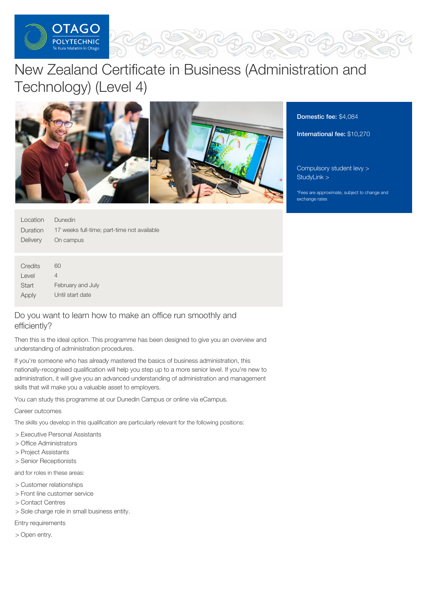

# New Zealand Certificate in Business (Administration and Technology) (Level 4)



Domestic fee: \$4,084

International fee: \$10,270

[Compulsory](https://online.op.ac.nz/students/important-information/student-services-levy/) student levy > [StudyLink](https://www.studylink.govt.nz/) >

\*Fees are approximate, subject to change and exchange rates

| Location                            | Dunedin                                     |
|-------------------------------------|---------------------------------------------|
| Duration                            | 17 weeks full-time; part-time not available |
| Delivery                            | On campus                                   |
|                                     |                                             |
| $\bigcap_{i=1}^{n} a_i = a_i + a_i$ |                                             |

| Credits | 60                |
|---------|-------------------|
| Level   | 4                 |
| Start   | February and July |
| Apply   | Until start date  |

# Do you want to learn how to make an office run smoothly and efficiently?

Then this is the ideal option. This programme has been designed to give you an overview and understanding of administration procedures.

If you're someone who has already mastered the basics of business administration, this nationally-recognised qualification will help you step up to a more senior level. If you're new to administration, it will give you an advanced understanding of administration and management skills that will make you a valuable asset to employers.

You can study this programme at our Dunedin Campus or online via eCampus.

Career outcomes

The skills you develop in this qualification are particularly relevant for the following positions:

- > Executive Personal Assistants
- > Office Administrators
- > Project Assistants
- > Senior Receptionists

and for roles in these areas:

- > Customer relationships
- > Front line customer service
- > Contact Centres
- > Sole charge role in small business entity.

Entry requirements

> Open entry.